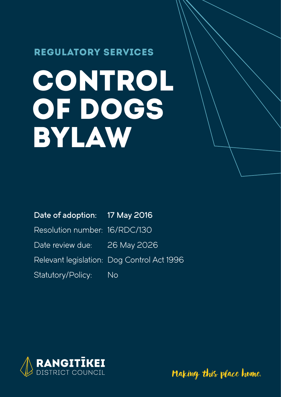### REGULATORY SERVICES

# CONTROL OF DOGS BYLAW

Date of adoption: 17 May 2016

Resolution number: 16/RDC/130

Date review due: 26 May 2026

Relevant legislation: Dog Control Act 1996

Statutory/Policy: No



Making this place home.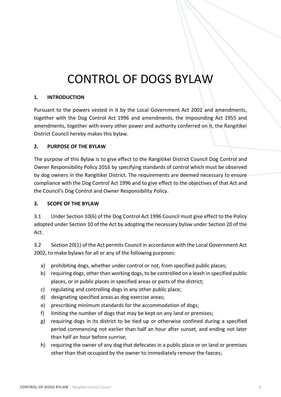## CONTROL OF DOGS BYLAW

#### **1. INTRODUCTION**

Pursuant to the powers vested in it by the Local Government Act 2002 and amendments, together with the Dog Control Act 1996 and amendments, the Impounding Act 1955 and amendments, together with every other power and authority conferred on it, the Rangitikei District Council hereby makes this bylaw.

#### **2. PURPOSE OF THE BYLAW**

The purpose of this Bylaw is to give effect to the Rangitikei District Council Dog Control and Owner Responsibility Policy 2016 by specifying standards of control which must be observed by dog owners in the Rangitikei District. The requirements are deemed necessary to ensure compliance with the Dog Control Act 1996 and to give effect to the objectives of that Act and the Council's Dog Control and Owner Responsibility Policy.

#### **3. SCOPE OF THE BYLAW**

3.1 Under Section 10(6) of the Dog Control Act 1996 Council must give effect to the Policy adopted under Section 10 of the Act by adopting the necessary bylaw under Section 20 of the Act.

3.2 Section 20(1) of the Act permits Council in accordance with the Local Government Act 2002, to make bylaws for all or any of the following purposes:

- a) prohibiting dogs, whether under control or not, from specified public places;
- b) requiring dogs, other than working dogs, to be controlled on a leash in specified public places, or in public places in specified areas or parts of the district;
- c) regulating and controlling dogs in any other public place;
- d) designating specified areas as dog exercise areas;
- e) prescribing minimum standards for the accommodation of dogs;
- f) limiting the number of dogs that may be kept on any land or premises;
- g) requiring dogs in its district to be tied up or otherwise confined during a specified period commencing not earlier than half an hour after sunset, and ending not later than half an hour before sunrise;
- h) requiring the owner of any dog that defecates in a public place or on land or premises other than that occupied by the owner to immediately remove the faeces;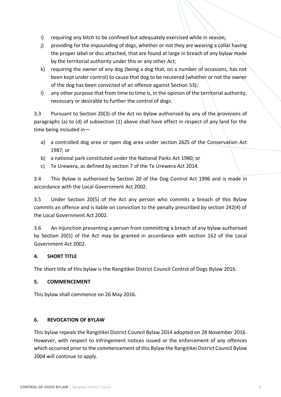- i) requiring any bitch to be confined but adequately exercised while in season;
- j) providing for the impounding of dogs, whether or not they are wearing a collar having the proper label or disc attached, that are found at large in breach of any bylaw made by the territorial authority under this or any other Act;
- k) requiring the owner of any dog (being a dog that, on a number of occasions, has not been kept under control) to cause that dog to be neutered (whether or not the owner of the dog has been convicted of an offence against Section 53);
- l) any other purpose that from time to time is, in the opinion of the territorial authority, necessary or desirable to further the control of dogs.

3.3 Pursuant to Section 20(3) of the Act no bylaw authorised by any of the provisions of paragraphs (a) to (d) of subsection (1) above shall have effect in respect of any land for the time being included in—

- a) a controlled dog area or open dog area under section 26ZS of the Conservation Act 1987; or
- b) a national park constituted under the National Parks Act 1980; or
- c) Te Urewera, as defined by section 7 of the Te Urewera Act 2014.

3.4 This Bylaw is authorised by Section 20 of the Dog Control Act 1996 and is made in accordance with the Local Government Act 2002.

3.5 Under Section 20(5) of the Act any person who commits a breach of this Bylaw commits an offence and is liable on conviction to the penalty prescribed by section 242(4) of the Local Government Act 2002.

3.6 An injunction preventing a person from committing a breach of any bylaw authorised by Section 20(5) of the Act may be granted in accordance with section 162 of the Local Government Act 2002.

#### **4. SHORT TITLE**

The short title of this bylaw is the Rangitikei District Council Control of Dogs Bylaw 2016.

#### **5. COMMENCEMENT**

This bylaw shall commence on 26 May 2016.

#### **6. REVOCATION OF BYLAW**

This bylaw repeals the Rangitikei District Council Bylaw 2014 adopted on 28 November 2016. However, with respect to infringement notices issued or the enforcement of any offences which occurred prior to the commencement of this Bylaw the Rangitikei District Council Bylaw 2004 will continue to apply.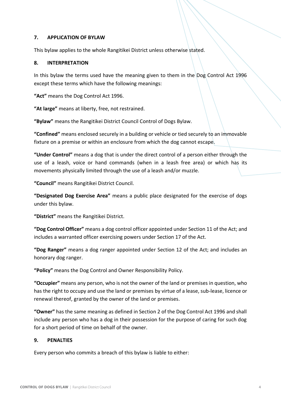#### **7. APPLICATION OF BYLAW**

This bylaw applies to the whole Rangitikei District unless otherwise stated.

#### **8. INTERPRETATION**

In this bylaw the terms used have the meaning given to them in the Dog Control Act 1996 except these terms which have the following meanings:

**"Act"** means the Dog Control Act 1996.

**"At large"** means at liberty, free, not restrained.

**"Bylaw"** means the Rangitikei District Council Control of Dogs Bylaw.

**"Confined"** means enclosed securely in a building or vehicle or tied securely to an immovable fixture on a premise or within an enclosure from which the dog cannot escape.

**"Under Control"** means a dog that is under the direct control of a person either through the use of a leash, voice or hand commands (when in a leash free area) or which has its movements physically limited through the use of a leash and/or muzzle.

**"Council"** means Rangitikei District Council.

**"Designated Dog Exercise Area"** means a public place designated for the exercise of dogs under this bylaw.

**"District"** means the Rangitikei District.

**"Dog Control Officer"** means a dog control officer appointed under Section 11 of the Act; and includes a warranted officer exercising powers under Section 17 of the Act.

**"Dog Ranger"** means a dog ranger appointed under Section 12 of the Act; and includes an honorary dog ranger.

**"Policy"** means the Dog Control and Owner Responsibility Policy.

**"Occupier"** means any person, who is not the owner of the land or premises in question, who has the right to occupy and use the land or premises by virtue of a lease, sub-lease, licence or renewal thereof, granted by the owner of the land or premises.

**"Owner"** has the same meaning as defined in Section 2 of the Dog Control Act 1996 and shall include any person who has a dog in their possession for the purpose of caring for such dog for a short period of time on behalf of the owner.

#### **9. PENALTIES**

Every person who commits a breach of this bylaw is liable to either: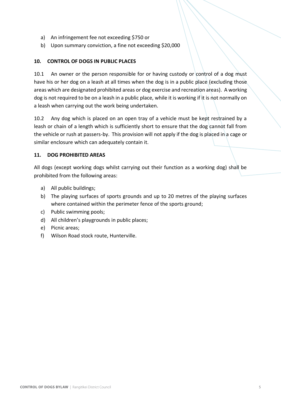- a) An infringement fee not exceeding \$750 or
- b) Upon summary conviction, a fine not exceeding \$20,000

#### **10. CONTROL OF DOGS IN PUBLIC PLACES**

10.1 An owner or the person responsible for or having custody or control of a dog must have his or her dog on a leash at all times when the dog is in a public place (excluding those areas which are designated prohibited areas or dog exercise and recreation areas). A working dog is not required to be on a leash in a public place, while it is working if it is not normally on a leash when carrying out the work being undertaken.

10.2 Any dog which is placed on an open tray of a vehicle must be kept restrained by a leash or chain of a length which is sufficiently short to ensure that the dog cannot fall from the vehicle or rush at passers-by. This provision will not apply if the dog is placed in a cage or similar enclosure which can adequately contain it.

#### **11. DOG PROHIBITED AREAS**

All dogs (except working dogs whilst carrying out their function as a working dog) shall be prohibited from the following areas:

- a) All public buildings;
- b) The playing surfaces of sports grounds and up to 20 metres of the playing surfaces where contained within the perimeter fence of the sports ground;
- c) Public swimming pools;
- d) All children's playgrounds in public places;
- e) Picnic areas;
- f) Wilson Road stock route, Hunterville.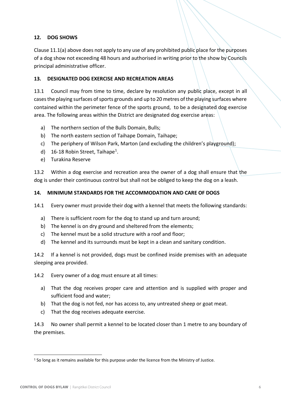#### **12. DOG SHOWS**

Clause 11.1(a) above does not apply to any use of any prohibited public place for the purposes of a dog show not exceeding 48 hours and authorised in writing prior to the show by Councils principal administrative officer.

#### **13. DESIGNATED DOG EXERCISE AND RECREATION AREAS**

13.1 Council may from time to time, declare by resolution any public place, except in all cases the playing surfaces of sports grounds and up to 20 metres of the playing surfaces where contained within the perimeter fence of the sports ground, to be a designated dog exercise area. The following areas within the District are designated dog exercise areas:

- a) The northern section of the Bulls Domain, Bulls;
- b) The north eastern section of Taihape Domain, Taihape;
- c) The periphery of Wilson Park, Marton (and excluding the children's playground);
- d) 16-18 Robin Street, Taihape<sup>1</sup>.
- e) Turakina Reserve

13.2 Within a dog exercise and recreation area the owner of a dog shall ensure that the dog is under their continuous control but shall not be obliged to keep the dog on a leash.

#### **14. MINIMUM STANDARDS FOR THE ACCOMMODATION AND CARE OF DOGS**

14.1 Every owner must provide their dog with a kennel that meets the following standards:

- a) There is sufficient room for the dog to stand up and turn around;
- b) The kennel is on dry ground and sheltered from the elements;
- c) The kennel must be a solid structure with a roof and floor;
- d) The kennel and its surrounds must be kept in a clean and sanitary condition.

14.2 If a kennel is not provided, dogs must be confined inside premises with an adequate sleeping area provided.

14.2 Every owner of a dog must ensure at all times:

- a) That the dog receives proper care and attention and is supplied with proper and sufficient food and water;
- b) That the dog is not fed, nor has access to, any untreated sheep or goat meat.
- c) That the dog receives adequate exercise.

14.3 No owner shall permit a kennel to be located closer than 1 metre to any boundary of the premises.

<sup>&</sup>lt;sup>1</sup> So long as it remains available for this purpose under the licence from the Ministry of Justice.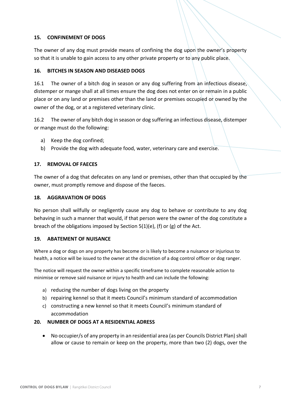#### **15. CONFINEMENT OF DOGS**

The owner of any dog must provide means of confining the dog upon the owner's property so that it is unable to gain access to any other private property or to any public place.

#### **16. BITCHES IN SEASON AND DISEASED DOGS**

16.1 The owner of a bitch dog in season or any dog suffering from an infectious disease, distemper or mange shall at all times ensure the dog does not enter on or remain in a public place or on any land or premises other than the land or premises occupied or owned by the owner of the dog, or at a registered veterinary clinic.

16.2 The owner of any bitch dog in season or dog suffering an infectious disease, distemper or mange must do the following:

- a) Keep the dog confined;
- b) Provide the dog with adequate food, water, veterinary care and exercise.

#### **17. REMOVAL OF FAECES**

The owner of a dog that defecates on any land or premises, other than that occupied by the owner, must promptly remove and dispose of the faeces.

#### **18. AGGRAVATION OF DOGS**

No person shall wilfully or negligently cause any dog to behave or contribute to any dog behaving in such a manner that would, if that person were the owner of the dog constitute a breach of the obligations imposed by Section 5(1)(e), (f) or (g) of the Act.

#### **19. ABATEMENT OF NUISANCE**

Where a dog or dogs on any property has become or is likely to become a nuisance or injurious to health, a notice will be issued to the owner at the discretion of a dog control officer or dog ranger.

The notice will request the owner within a specific timeframe to complete reasonable action to minimise or remove said nuisance or injury to health and can include the following:

- a) reducing the number of dogs living on the property
- b) repairing kennel so that it meets Council's minimum standard of accommodation
- c) constructing a new kennel so that it meets Council's minimum standard of accommodation

#### **20. NUMBER OF DOGS AT A RESIDENTIAL ADRESS**

 No occupier/s of any property in an residential area (as per Councils District Plan) shall allow or cause to remain or keep on the property, more than two (2) dogs, over the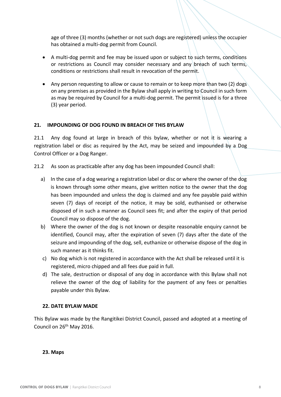age of three (3) months (whether or not such dogs are registered) unless the occupier has obtained a multi-dog permit from Council.

- A multi-dog permit and fee may be issued upon or subject to such terms, conditions or restrictions as Council may consider necessary and any breach of such terms, conditions or restrictions shall result in revocation of the permit.
- Any person requesting to allow or cause to remain or to keep more than two (2) dogs on any premises as provided in the Bylaw shall apply in writing to Council in such form as may be required by Council for a multi-dog permit. The permit issued is for a three (3) year period.

#### **21. IMPOUNDING OF DOG FOUND IN BREACH OF THIS BYLAW**

21.1 Any dog found at large in breach of this bylaw, whether or not it is wearing a registration label or disc as required by the Act, may be seized and impounded by a Dog Control Officer or a Dog Ranger.

21.2 As soon as practicable after any dog has been impounded Council shall:

- a) In the case of a dog wearing a registration label or disc or where the owner of the dog is known through some other means, give written notice to the owner that the dog has been impounded and unless the dog is claimed and any fee payable paid within seven (7) days of receipt of the notice, it may be sold, euthanised or otherwise disposed of in such a manner as Council sees fit; and after the expiry of that period Council may so dispose of the dog.
- b) Where the owner of the dog is not known or despite reasonable enquiry cannot be identified, Council may, after the expiration of seven (7) days after the date of the seizure and impounding of the dog, sell, euthanize or otherwise dispose of the dog in such manner as it thinks fit.
- c) No dog which is not registered in accordance with the Act shall be released until it is registered, micro chipped and all fees due paid in full.
- d) The sale, destruction or disposal of any dog in accordance with this Bylaw shall not relieve the owner of the dog of liability for the payment of any fees or penalties payable under this Bylaw.

#### **22. DATE BYLAW MADE**

This Bylaw was made by the Rangitikei District Council, passed and adopted at a meeting of Council on 26<sup>th</sup> May 2016.

#### **23. Maps**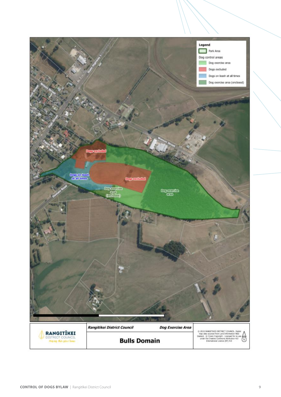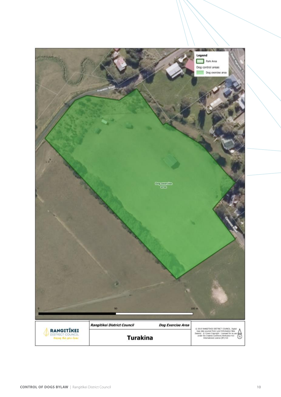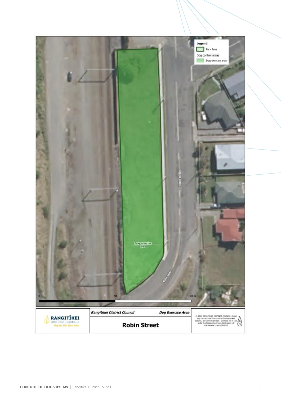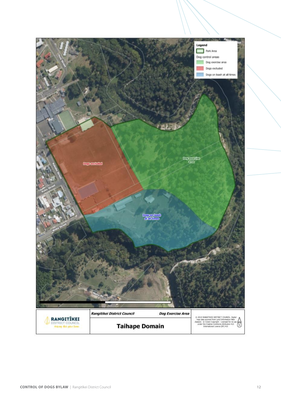